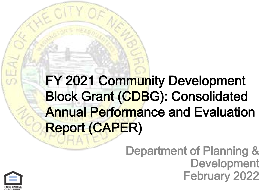### FY 2021 Community Development Block Grant (CDBG): Consolidated Annual Performance and Evaluation Report (CAPER)

### Department of Planning & Development February 2022

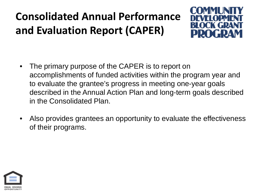### **Consolidated Annual Performance and Evaluation Report (CAPER)**



- The primary purpose of the CAPER is to report on accomplishments of funded activities within the program year and to evaluate the grantee's progress in meeting one-year goals described in the Annual Action Plan and long-term goals described in the Consolidated Plan.
- Also provides grantees an opportunity to evaluate the effectiveness of their programs.

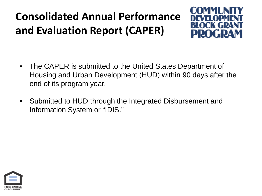### **Consolidated Annual Performance and Evaluation Report (CAPER)**



- The CAPER is submitted to the United States Department of Housing and Urban Development (HUD) within 90 days after the end of its program year.
- Submitted to HUD through the Integrated Disbursement and Information System or "IDIS."

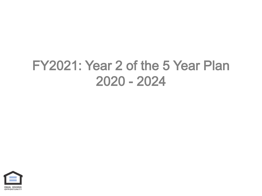### FY2021: Year 2 of the 5 Year Plan 2020 - 2024

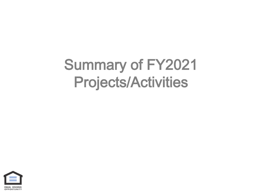### Summary of FY2021 Projects/Activities

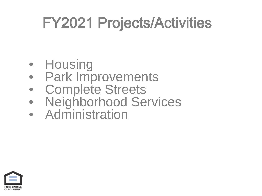- Housing
- Park Improvements
- Complete Streets
- Neighborhood Services
- Administration

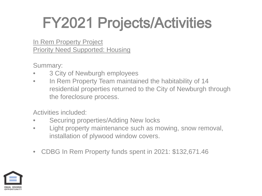### In Rem Property Project Priority Need Supported: Housing

Summary:

- 3 City of Newburgh employees
- In Rem Property Team maintained the habitability of 14 residential properties returned to the City of Newburgh through the foreclosure process.

Activities included:

- Securing properties/Adding New locks
- Light property maintenance such as mowing, snow removal, installation of plywood window covers.
- CDBG In Rem Property funds spent in 2021: \$132,671.46

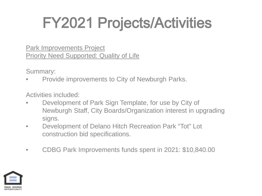Park Improvements Project Priority Need Supported: Quality of Life

Summary:

• Provide improvements to City of Newburgh Parks.

Activities included:

- Development of Park Sign Template, for use by City of Newburgh Staff, City Boards/Organization interest in upgrading signs.
- Development of Delano Hitch Recreation Park "Tot" Lot construction bid specifications.
- CDBG Park Improvements funds spent in 2021: \$10,840.00

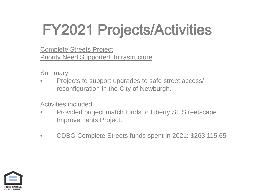Complete Streets Project Priority Need Supported: Infrastructure

Summary:

• Projects to support upgrades to safe street access/ reconfiguration in the City of Newburgh.

Activities included:

- Provided project match funds to Liberty St. Streetscape Improvements Project.
- CDBG Complete Streets funds spent in 2021: \$263,115.65

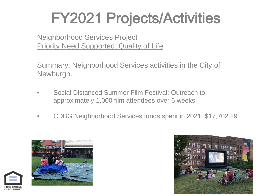Neighborhood Services Project Priority Need Supported: Quality of Life

Summary: Neighborhood Services activities in the City of Newburgh.

- Social Distanced Summer Film Festival: Outreach to approximately 1,000 film attendees over 6 weeks.
- CDBG Neighborhood Services funds spent in 2021: \$17,702.29



**OPPORTUNIT** 

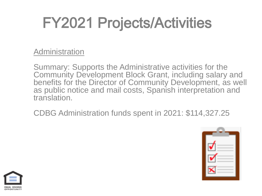Administration

Summary: Supports the Administrative activities for the Community Development Block Grant, including salary and benefits for the Director of Community Development, as well as public notice and mail costs, Spanish interpretation and translation.

CDBG Administration funds spent in 2021: \$114,327.25



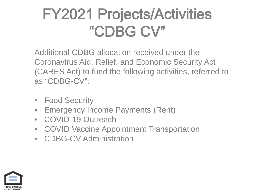### FY2021 Projects/Activities "CDBG CV"

Additional CDBG allocation received under the Coronavirus Aid, Relief, and Economic Security Act (CARES Act) to fund the following activities, referred to as "CDBG-CV":

- **Food Security**
- Emergency Income Payments (Rent)
- COVID-19 Outreach
- COVID Vaccine Appointment Transportation
- CDBG-CV Administration

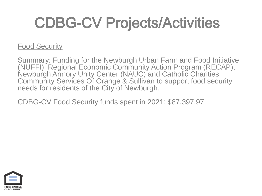### Food Security

Summary: Funding for the Newburgh Urban Farm and Food Initiative (NUFFI), Regional Economic Community Action Program (RECAP), Newburgh Armory Unity Center (NAUC) and Catholic Charities Community Services Of Orange & Sullivan to support food security needs for residents of the City of Newburgh.

CDBG-CV Food Security funds spent in 2021: \$87,397.97

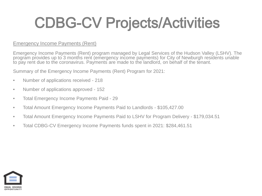#### Emergency Income Payments (Rent)

Emergency Income Payments (Rent) program managed by Legal Services of the Hudson Valley (LSHV). The program provides up to 3 months rent (emergency income payments) for City of Newburgh residents unable to pay rent due to the coronavirus. Payments are made to the landlord, on behalf of the tenant.

Summary of the Emergency Income Payments (Rent) Program for 2021:

- Number of applications received 218
- Number of applications approved 152
- Total Emergency Income Payments Paid 29
- Total Amount Emergency Income Payments Paid to Landlords \$105,427.00
- Total Amount Emergency Income Payments Paid to LSHV for Program Delivery \$179,034.51
- Total CDBG-CV Emergency Income Payments funds spent in 2021: \$284,461.51

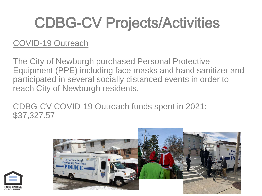### COVID-19 Outreach

The City of Newburgh purchased Personal Protective Equipment (PPE) including face masks and hand sanitizer and participated in several socially distanced events in order to reach City of Newburgh residents.

CDBG-CV COVID-19 Outreach funds spent in 2021: \$37,327.57



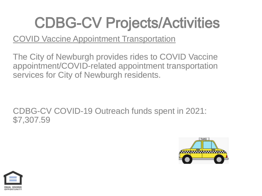### COVID Vaccine Appointment Transportation

The City of Newburgh provides rides to COVID Vaccine appointment/COVID-related appointment transportation services for City of Newburgh residents.

CDBG-CV COVID-19 Outreach funds spent in 2021: \$7,307.59



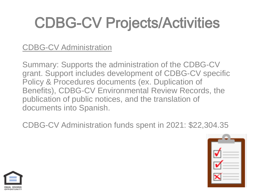### CDBG-CV Administration

Summary: Supports the administration of the CDBG-CV grant. Support includes development of CDBG-CV specific Policy & Procedures documents (ex. Duplication of Benefits), CDBG-CV Environmental Review Records, the publication of public notices, and the translation of documents into Spanish.

CDBG-CV Administration funds spent in 2021: \$22,304.35



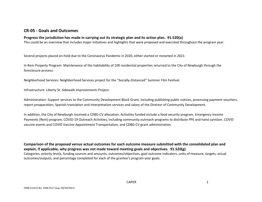#### **CR-05 - Goals and Outcomes**

#### **Progress the jurisdiction has made in carrying out its strategic plan and its action plan. 91.520(a)**

This could be an overview that includes major initiatives and highlights that were proposed and executed throughout the program year.

Several projects placed on-hold due to the Coronavirus Pandemic in 2020, either started or restarted in 2021:

In Rem Property Program: Maintenance of the habitability of 100 residential properties returned to the City of Newburgh through the foreclosure process.

Neighborhood Services: Neighborhood Services project for the "Socially-Distanced" Summer Film Festival.

Infrastructure: Liberty St. Sidewalk Improvements Project.

Administration: Support services to the Community Development Block Grant, including publishing public notices, processing payment vouchers, report preaparation, Spanish translation and interpretation services and salary of the Director of Community Development.

In addition, the City of Newburgh received a CDBG-CV allocation. Activities funded include a food security program, Emergency Income Payments (Rent) program, COVID-19 Outreach Activities, including community outreach programs to distribute PPE and hand sanitizer, COVID vaccine events and COVID Vaccine Appointment Transportation, and CDBG-CV grant administration.

**Comparison of the proposed versus actual outcomes for each outcome measure submitted with the consolidated plan and explain, if applicable, why progress was not made toward meeting goals and objectives. 91.520(g)** Categories, priority levels, funding sources and amounts, outcomes/objectives, goal outcome indicators, units of measure, targets, actual outcomes/outputs, and percentage completed for each of the grantee's program year goals.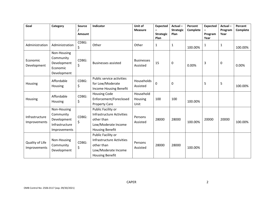| Goal                            | Category                                                                         | <b>Source</b><br>Amount | Indicator                                                                                                      | Unit of<br><b>Measure</b>     | <b>Expected</b><br><b>Strategic</b><br>Plan | Actual-<br><b>Strategic</b><br>Plan | Percent<br>Complete | <b>Expected</b><br>Program<br>Year | $Actual -$<br>Program<br>Year | Percent<br>Complete |
|---------------------------------|----------------------------------------------------------------------------------|-------------------------|----------------------------------------------------------------------------------------------------------------|-------------------------------|---------------------------------------------|-------------------------------------|---------------------|------------------------------------|-------------------------------|---------------------|
| Administration                  | Administration                                                                   | CDBG:<br>\$             | Other                                                                                                          | Other                         | 1                                           | 1                                   | 100.00%             | $\mathbf{1}$                       | 1                             | 100.00%             |
| Economic<br>Development         | Non-Housing<br>Community<br>Development<br>Economic<br>Development               | CDBG:<br>\$             | <b>Businesses assisted</b>                                                                                     | <b>Businesses</b><br>Assisted | 15                                          | 0                                   | 0.00%               | $\overline{3}$                     | 0                             | 0.00%               |
| Housing                         | Affordable<br>Housing                                                            | CDBG:<br>\$             | Public service activities<br>for Low/Moderate<br>Income Housing Benefit                                        | Households<br>Assisted        | 0                                           | 0                                   |                     | 5                                  | 5                             | 100.00%             |
| Housing                         | Affordable<br>Housing                                                            | CDBG:<br>\$             | <b>Housing Code</b><br>Enforcement/Foreclosed<br><b>Property Care</b>                                          | Household<br>Housing<br>Unit  | 100                                         | 100                                 | 100.00%             |                                    |                               |                     |
| Infrastructure<br>Improvements  | Non-Housing<br>Community<br>Development<br>Infrastructure<br><b>Improvements</b> | CDBG:<br>\$             | Public Facility or<br>Infrastructure Activities<br>other than<br>Low/Moderate Income<br><b>Housing Benefit</b> | Persons<br>Assisted           | 28000                                       | 28000                               | 100.00%             | 20000                              | 20000                         | 100.00%             |
| Quality of Life<br>Improvements | Non-Housing<br>Community<br>Development                                          | CDBG:<br>\$             | Public Facility or<br>Infrastructure Activities<br>other than<br>Low/Moderate Income<br><b>Housing Benefit</b> | Persons<br>Assisted           | 28000                                       | 28000                               | 100.00%             |                                    |                               |                     |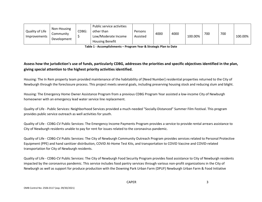| Quality of Life<br>Improvements | Non-Housing<br>Community<br>Development | CDBG. | Public service activities<br>other than<br>Low/Moderate Income | Persons<br>Assisted | 4000 | 4000 | 100.00% | 700 | 700 | 100.00% |
|---------------------------------|-----------------------------------------|-------|----------------------------------------------------------------|---------------------|------|------|---------|-----|-----|---------|
|                                 |                                         |       | <b>Housing Benefit</b>                                         |                     |      |      |         |     |     |         |

**Table 1 - Accomplishments – Program Year & Strategic Plan to Date**

#### **Assess how the jurisdiction's use of funds, particularly CDBG, addresses the priorities and specific objectives identified in the plan, giving special attention to the highest priority activities identified.**

Housing: The In Rem property team provided maintenance of the habitability of [Need Number] residential properties returned to the City of Newburgh through the foreclosure process. This project meets several goals, including preserving housing stock and reducing slum and blight.

Housing: The Emergency Home Owner Assistance Program from a previous CDBG Program Year assisted a low-income City of Newburgh homeowner with an emergency lead water service line replacement.

Quality of Life - Public Services: Neighborhood Services provided a much-needed "Socially-Distanced" Summer Film Festival. This program provides public service outreach as well activities for youth.

Quality of Life - CDBG-CV Public Services: The Emergency Income Payments Program provides a service to provide rental arrears assistance to City of Newburgh residents unable to pay for rent for issues related to the coronavirus pandemic.

Quality of Life - CDBG-CV Public Services: The City of Newburgh Community Outreach Program provides services related to Personal Protective Equipment (PPE) and hand sanitizer distribution, COVID At-Home Test Kits, and transportation to COVID Vaccine and COVID-related transportation for City of Newburgh residents.

Quality of Life - CDBG-CV Public Services: The City of Newburgh Food Security Program provides food assistance to City of Newburgh residents impacted by the coronavirus pandemic. This service includes food pantry services through various non-profit organizations in the City of Newburgh as well as support for produce production with the Downing Park Urban Farm (DPUF) Newburgh Urban Farm & Food Initiative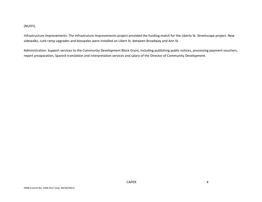#### (NUFFI).

Infrastructure Improvements: The Infrastruture Improvements project provided the funding match for the Liberty St. Streetscape project. New sidewalks, curb ramp upgrades and bioswales were installed on Libert St. between Broadway and Ann St.

Administration: Support services to the Community Development Block Grant, including publishing public notices, processing payment vouchers, report preaparation, Spanish translation and interpretation services and salary of the Director of Community Development.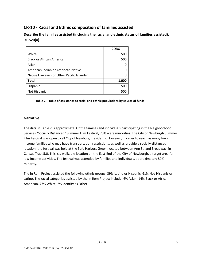#### **CR-10 - Racial and Ethnic composition of families assisted**

**Describe the families assisted (including the racial and ethnic status of families assisted). 91.520(a)** 

|                                           | <b>CDBG</b> |
|-------------------------------------------|-------------|
| White                                     | 500         |
| <b>Black or African American</b>          | 500         |
| Asian                                     |             |
| American Indian or American Native        |             |
| Native Hawaiian or Other Pacific Islander |             |
| <b>Total</b>                              | 1,000       |
| Hispanic                                  | 500         |
| Not Hispanic                              | 500         |

#### **Table 2 – Table of assistance to racial and ethnic populations by source of funds**

#### **Narrative**

The data in Table 2 is approximate. Of the families and individuals participating in the Neighborhood Services "Socially Distanced" Summer Film Festival, 70% were minorities. The City of Newburgh Summer Film Festival was open to all City of Newburgh residents. However, in order to reach as many lowincome families who may have transportation restrictions, as well as provide a socially-distanced location, the festival was held at the Safe Harbors Green, located between Ann St. and Broadway, in Census Tract 5.0. This is a walkable location on the East-End of the City of Newburgh, a target area for low-income activities. The festival was attended by families and individuals, approximately 80% minority.

The In Rem Project assisted the following ethnic groups: 39% Latino or Hispanic, 61% Not-Hispanic or Latino. The racial categories assisted by the In Rem Project include: 6% Asian, 14% Black or African American, 77% White, 2% identify as Other.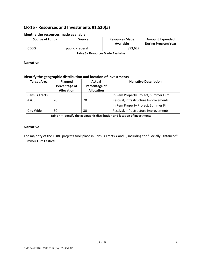#### **CR-15 - Resources and Investments 91.520(a)**

| <b>Source of Funds</b> | Source           | <b>Resources Made</b><br>Available | <b>Amount Expended</b><br><b>During Program Year</b> |
|------------------------|------------------|------------------------------------|------------------------------------------------------|
| <b>CDBG</b>            | public - federal | 893.627                            |                                                      |

#### **Identify the resources made available**

**Table 3 - Resources Made Available**

#### **Narrative**

#### **Identify the geographic distribution and location of investments**

| <b>Target Area</b>   | <b>Planned</b>    | Actual            | <b>Narrative Description</b>          |
|----------------------|-------------------|-------------------|---------------------------------------|
|                      | Percentage of     | Percentage of     |                                       |
|                      | <b>Allocation</b> | <b>Allocation</b> |                                       |
| <b>Census Tracts</b> |                   |                   | In Rem Property Project, Summer Film  |
| 4 & 5                | 70                | 70                | Festival, Infrastructure Improvements |
|                      |                   |                   | In Rem Property Project, Summer Film  |
| City Wide            | 30                | 30                | Festival, Infrastructure Improvements |

**Table 4 – Identify the geographic distribution and location of investments**

#### **Narrative**

The majority of the CDBG projects took place in Census Tracts 4 and 5, including the "Socially-Distanced" Summer Film Festival.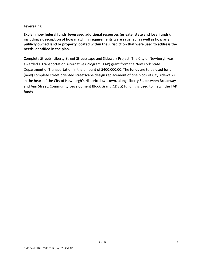#### **Leveraging**

**Explain how federal funds leveraged additional resources (private, state and local funds), including a description of how matching requirements were satisfied, as well as how any publicly owned land or property located within the jurisdiction that were used to address the needs identified in the plan.**

Complete Streets, Liberty Street Streetscape and Sidewalk Project: The City of Newburgh was awarded a Transportation Alternatives Program (TAP) grant from the New York State Department of Transportation in the amount of \$400,000.00. The funds are to be used for a (new) complete street oriented streetscape design replacement of one block of City sidewalks in the heart of the City of Newburgh's Historic downtown, along Liberty St, between Broadway and Ann Street. Community Development Block Grant (CDBG) funding is used to match the TAP funds.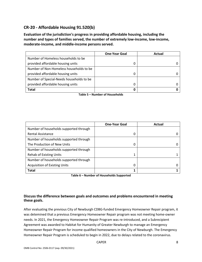#### **CR-20 - Affordable Housing 91.520(b)**

**Evaluation of the jurisdiction's progress in providing affordable housing, including the number and types of families served, the number of extremely low-income, low-income, moderate-income, and middle-income persons served.**

|                                          | <b>One-Year Goal</b> | Actual |
|------------------------------------------|----------------------|--------|
| Number of Homeless households to be      |                      |        |
| provided affordable housing units        |                      |        |
| Number of Non-Homeless households to be  |                      |        |
| provided affordable housing units        |                      |        |
| Number of Special-Needs households to be |                      |        |
| provided affordable housing units        |                      |        |
| Total                                    |                      |        |

**Table 5 – Number of Households**

|                                        | <b>One-Year Goal</b> | Actual |
|----------------------------------------|----------------------|--------|
| Number of households supported through |                      |        |
| <b>Rental Assistance</b>               | 0                    |        |
| Number of households supported through |                      |        |
| The Production of New Units            | 0                    |        |
| Number of households supported through |                      |        |
| <b>Rehab of Existing Units</b>         |                      |        |
| Number of households supported through |                      |        |
| <b>Acquisition of Existing Units</b>   | 0                    |        |
| <b>Total</b>                           |                      |        |

**Table 6 – Number of Households Supported**

#### **Discuss the difference between goals and outcomes and problems encountered in meeting these goals.**

After evaluating the previous City of Newburgh CDBG-funded Emergency Homeowner Repair program, it was detemined that a previous Emergency Homeowner Repair program was not meeting home-owner needs. In 2021, the Emergency Homeowner Repair Program was re-introduced, and a Subrecipient Agreement was awarded to Habitat for Humanity of Greater Newburgh to manage an Emergency Homeowner Repair Program for income qualified homeowners in the City of Newburgh. The Emergency Homeowner Repair Program is scheduled to begin in 2022, due to delays related to the coronavirus.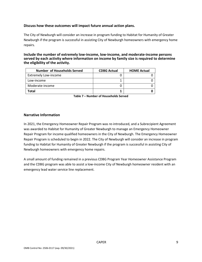#### **Discuss how these outcomes will impact future annual action plans.**

The City of Newburgh will consider an increase in program funding to Habitat for Humanity of Greater Newburgh if the program is successful in assisting City of Newburgh homeowners with emergency home repairs.

**Include the number of extremely low-income, low-income, and moderate-income persons served by each activity where information on income by family size is required to determine the eligibility of the activity.**

| Number of Households Served | <b>CDBG Actual</b> | <b>HOME Actual</b> |
|-----------------------------|--------------------|--------------------|
| <b>Extremely Low-income</b> |                    |                    |
| Low-income                  |                    |                    |
| Moderate-income             |                    |                    |
| Total                       |                    |                    |

**Table 7 – Number of Households Served**

#### **Narrative Information**

In 2021, the Emergency Homeowner Repair Program was re-introduced, and a Subrecipient Agreement was awarded to Habitat for Humanity of Greater Newburgh to manage an Emergency Homeowner Repair Program for income qualified homeowners in the City of Newburgh. The Emergency Homeowner Repair Program is scheduled to begin in 2022. The City of Newburgh will consider an increase in program funding to Habitat for Humanity of Greater Newburgh if the program is successful in assisting City of Newburgh homeowners with emergency home repairs.

A small amount of funding remained in a previous CDBG Program Year Homeowner Assistance Program and the CDBG program was able to assist a low-income City of Newburgh homeowner resident with an emergency lead water service line replacement.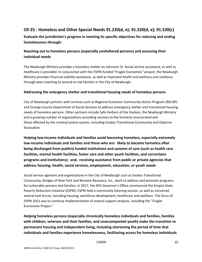#### **CR-25 - Homeless and Other Special Needs 91.220(d, e); 91.320(d, e); 91.520(c)**

**Evaluate the jurisdiction's progress in meeting its specific objectives for reducing and ending homelessness through:**

#### **Reaching out to homeless persons (especially unsheltered persons) and assessing their individual needs**

The Newburgh Ministry provides a homeless shelter on Johnston St. Social service assistance, as well as healthcare is provided. In conjunction with the ESPRI-funded "Fragile Economies" project, the Newburgh Ministry provides financial stability assistance, as well as improved health and wellness and resiliency through peer coaching to several at-risk families in the City of Newburgh.

#### **Addressing the emergency shelter and transitional housing needs of homeless persons**

City of Newburgh partners with services such as Regional Economic Community Action Program (RECAP) and Orange County Department of Social Services to address emergency shelter and transitional housing needs of homeless persons. Other partners include Safe Harbors of the Hudson, the Newburgh Ministry and a growing number of organizations providing services to the formerly incarcerated and those affected by the criminal justice system, including Exodus Transitional Community and Osborne Assocation.

**Helping low-income individuals and families avoid becoming homeless, especially extremely low-income individuals and families and those who are: likely to become homeless after being discharged from publicly funded institutions and systems of care (such as health care facilities, mental health facilities, foster care and other youth facilities, and corrections programs and institutions); and, receiving assistance from public or private agencies that address housing, health, social services, employment, education, or youth needs**

Social service agencies and organizations in the City of Newburgh such as Exodus Transitional Community, Bridges of New York and Renwick Recovery, Inc., work to address and promote programs for vulnerable persons and families. In 2017, the NYS Governor's Office commenced the Empire State Poverty Reduction Initiative (ESPRI). ESPRI held a community listening session, as well as convened several task forces, including housing, workforce development, healthcare and wellness. The focus of ESPRI 2021 was to continue implementation of several support projects, including the "Fragile Economies Project."

**Helping homeless persons (especially chronically homeless individuals and families, families with children, veterans and their families, and unaccompanied youth) make the transition to permanent housing and independent living, including shortening the period of time that individuals and families experience homelessness, facilitating access for homeless individuals**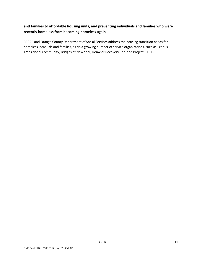#### **and families to affordable housing units, and preventing individuals and families who were recently homeless from becoming homeless again**

RECAP and Orange County Department of Social Services address the housing transition needs for homeless indiviuals and families, as do a growing number of service organizations, such as Exodus Transitional Community, Bridges of New York, Renwick Recovery, Inc. and Project L.I.F.E.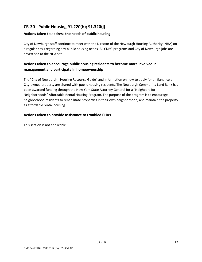#### **CR-30 - Public Housing 91.220(h); 91.320(j)**

#### **Actions taken to address the needs of public housing**

City of Newburgh staff continue to meet with the Director of the Newburgh Housing Authority (NHA) on a regular basis regarding any public housing needs. All CDBG programs and City of Newburgh jobs are advertised at the NHA site.

#### **Actions taken to encourage public housing residents to become more involved in management and participate in homeownership**

The "City of Newburgh - Housing Resource Guide" and information on how to apply for an fianance a City-owned property are shared with public housing residents. The Newburgh Community Land Bank has been awarded funding through the New York State Attorney General for a "Neighbors for Neighborhoods" Affordable Rental Housing Program. The purpose of the program is to encourage neighborhood residents to rehabilitate properties in their own neighborhood, and maintain the property as affordable rental housing.

#### **Actions taken to provide assistance to troubled PHAs**

This section is not applicable.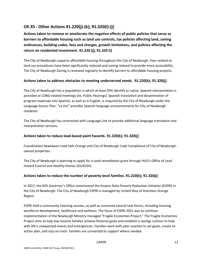#### **CR-35 - Other Actions 91.220(j)-(k); 91.320(i)-(j)**

**Actions taken to remove or ameliorate the negative effects of public policies that serve as barriers to affordable housing such as land use controls, tax policies affecting land, zoning ordinances, building codes, fees and charges, growth limitations, and policies affecting the return on residential investment. 91.220 (j); 91.320 (i)**

The City of Newburgh supports affordable housing throughout the City of Newburgh. Fees related to land use procedures have been significantly reduced and zoning relaxed to provide more accessibility. The City of Newburgh Zoning is reviewed regularly to identify barriers to affordable housing projects.

#### **Actions taken to address obstacles to meeting underserved needs. 91.220(k); 91.320(j)**

The City of Newburgh has a population in which at least 50% identify as Latinx. Spanish interpretation is provided at CDBG-related meetings (ex. Public Hearings). Spanish translation and dissemination of program materials into Spanish, as well as in English, is required by the City of Newburgh under the Language Access Plan. "La Voz" provides Spanish language announcements for City of Newburgh residents.

The City of Newburgh has contracted with Language Link to provide additional language translation and interpretation services.

#### **Actions taken to reduce lead-based paint hazards. 91.220(k); 91.320(j)**

Coordination bewtween Lead Safe Orange and City of Newburgh Code Compliance of City of Newburghowned properties.

The City of Newburgh is planning to apply for a Lead remediation grant through HUD's Office of Lead Hazard Control and Healthy Homes (OLHCHH).

#### **Actions taken to reduce the number of poverty-level families. 91.220(k); 91.320(j)**

In 2017, the NYS Governor's Office commenced the Empire State Poverty Reduction Initiative (ESPRI) in the City of Newburgh. The City of Newburgh ESPRI is managed by United Way of Dutchess-Orange Region.

ESPRI held a community listening session, as well as convened several task forces, including housing, workforce development, healthcare and wellness. The focus of ESPRI 2021 was to continue implementation of the Newburgh Ministry managed "Fragile Economies Project." The Fragile Economies Project aims to help low income families achieve financial goals and establish a savings cushion to help with life's unexpected events and emergencies. Families work with peer coaches to set goals, create an action plan, and stay on track. Families are connected to support where needed.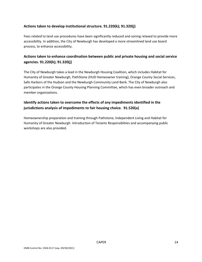#### **Actions taken to develop institutional structure. 91.220(k); 91.320(j)**

Fees related to land use procedures have been significantly reduced and zoning relaxed to provide more accessibility. In addition, the City of Newburgh has developed a more streamlined land use board process, to enhance accessibility.

#### **Actions taken to enhance coordination between public and private housing and social service agencies. 91.220(k); 91.320(j)**

The City of Newburgh takes a lead in the Newburgh Housing Coalition, which includes Habitat for Humanity of Greater Newburgh, PathStone (HUD Homeowner training), Orange County Social Services, Safe Harbors of the Hudson and the Newburgh Community Land Bank. The City of Newburgh also participates in the Orange County Housing Planning Committee, which has even broader outreach and member organizations.

#### **Identify actions taken to overcome the effects of any impediments identified in the jurisdictions analysis of impediments to fair housing choice. 91.520(a)**

Homeownership preparation and training through Pathstone, Independent Living and Habitat for Humanity of Greater Newburgh. Introduction of Tenants Responsiblities and accompanying public workshops are also provided.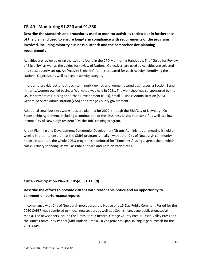#### **CR-40 - Monitoring 91.220 and 91.230**

**Describe the standards and procedures used to monitor activities carried out in furtherance of the plan and used to ensure long-term compliance with requirements of the programs involved, including minority business outreach and the comprehensive planning requirements**

Activities are reviewed using the exhibits found in the CPD Monitoring Handbook. The "Guide for Review of Eligibility" as well as the guides for review of National Objectives, are used as Activities are selected and subsequently set-up. An "Activity Eligibility" form is prepared for each Activity, identifying the National Objective, as well as eligible activity category.

In order to provide better outreach to minority-owned and women-owned businesses, a Section 3 and minority/women-owned business Workshop was held in 2021. The workshop was co-sponsored by the US Department of Housing and Urban Development (HUD), Small Business Administration (SBA), General Services Administration (GSA) and Orange County government.

Additional small business workshops are planned for 2022, through the SBA/City of Newburgh Co-Sponsorship Agreement, including a continuation of the "Business Basics Bootcamp," as well as a lowincome City of Newburgh resident "On-the-Job" training program.

A joint Planning and Development/Community Development/Grants Administration meeting is held biweekly in order to ensure that the CDBG program is in align with other City of Newburgh community needs. In addition, the whole CDBG program is monitored for "Timeliness" using a spreadsheet, which tracks Activity spending, as well as Public Service and Administration caps.

#### **Citizen Participation Plan 91.105(d); 91.115(d)**

#### **Describe the efforts to provide citizens with reasonable notice and an opportunity to comment on performance reports**.

In compliance with City of Newburgh procedures, the Notice of a 15-Day Public Comment Period for the 2020 CAPER was submitted to 4 local newspapers as well as a Spanish language publication/social media. The newspapers include the Times Herald Record, Orange County Post, Hudson Valley Press and the Times Community Papers (Mid-Hudson Times). La Voz provides Spanish language outreach for the 2020 CAPER.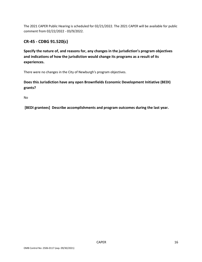The 2021 CAPER Public Hearing is scheduled for 02/21/2022. The 2021 CAPER will be available for public comment from 02/22/2022 - 03/9/2022.

#### **CR-45 - CDBG 91.520(c)**

**Specify the nature of, and reasons for, any changes in the jurisdiction's program objectives and indications of how the jurisdiction would change its programs as a result of its experiences.**

There were no changes in the City of Newburgh's program objectives.

**Does this Jurisdiction have any open Brownfields Economic Development Initiative (BEDI) grants?**

No

**[BEDI grantees] Describe accomplishments and program outcomes during the last year.**